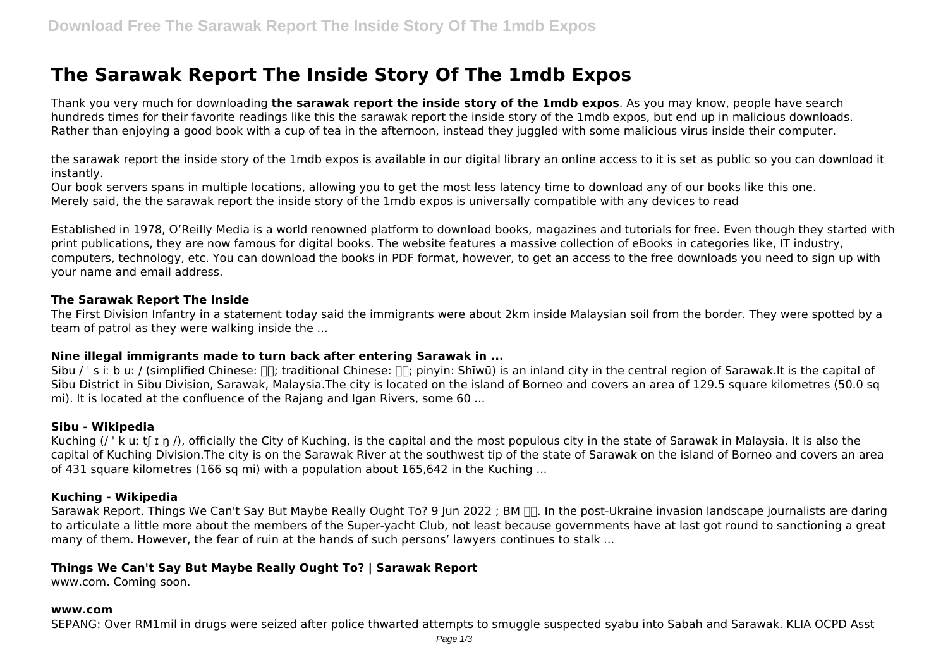# **The Sarawak Report The Inside Story Of The 1mdb Expos**

Thank you very much for downloading **the sarawak report the inside story of the 1mdb expos**. As you may know, people have search hundreds times for their favorite readings like this the sarawak report the inside story of the 1mdb expos, but end up in malicious downloads. Rather than enjoying a good book with a cup of tea in the afternoon, instead they juggled with some malicious virus inside their computer.

the sarawak report the inside story of the 1mdb expos is available in our digital library an online access to it is set as public so you can download it instantly.

Our book servers spans in multiple locations, allowing you to get the most less latency time to download any of our books like this one. Merely said, the the sarawak report the inside story of the 1mdb expos is universally compatible with any devices to read

Established in 1978, O'Reilly Media is a world renowned platform to download books, magazines and tutorials for free. Even though they started with print publications, they are now famous for digital books. The website features a massive collection of eBooks in categories like, IT industry, computers, technology, etc. You can download the books in PDF format, however, to get an access to the free downloads you need to sign up with your name and email address.

### **The Sarawak Report The Inside**

The First Division Infantry in a statement today said the immigrants were about 2km inside Malaysian soil from the border. They were spotted by a team of patrol as they were walking inside the ...

### **Nine illegal immigrants made to turn back after entering Sarawak in ...**

Sibu / 's i; b u; / (simplified Chinese:  $\Box \Box$ ; traditional Chinese:  $\Box \Box$ ; pinyin: Shīwū) is an inland city in the central region of Sarawak.It is the capital of Sibu District in Sibu Division, Sarawak, Malaysia.The city is located on the island of Borneo and covers an area of 129.5 square kilometres (50.0 sq mi). It is located at the confluence of the Rajang and Igan Rivers, some 60 ...

### **Sibu - Wikipedia**

Kuching (/  $\cdot$  k u: t[ I n /), officially the City of Kuching, is the capital and the most populous city in the state of Sarawak in Malaysia. It is also the capital of Kuching Division.The city is on the Sarawak River at the southwest tip of the state of Sarawak on the island of Borneo and covers an area of 431 square kilometres (166 sq mi) with a population about 165,642 in the Kuching ...

### **Kuching - Wikipedia**

Sarawak Report. Things We Can't Say But Maybe Really Ought To? 9 Jun 2022 ; BM  $\Pi$ . In the post-Ukraine invasion landscape journalists are daring to articulate a little more about the members of the Super-yacht Club, not least because governments have at last got round to sanctioning a great many of them. However, the fear of ruin at the hands of such persons' lawyers continues to stalk ...

# **Things We Can't Say But Maybe Really Ought To? | Sarawak Report**

www.com. Coming soon.

#### **www.com**

SEPANG: Over RM1mil in drugs were seized after police thwarted attempts to smuggle suspected syabu into Sabah and Sarawak. KLIA OCPD Asst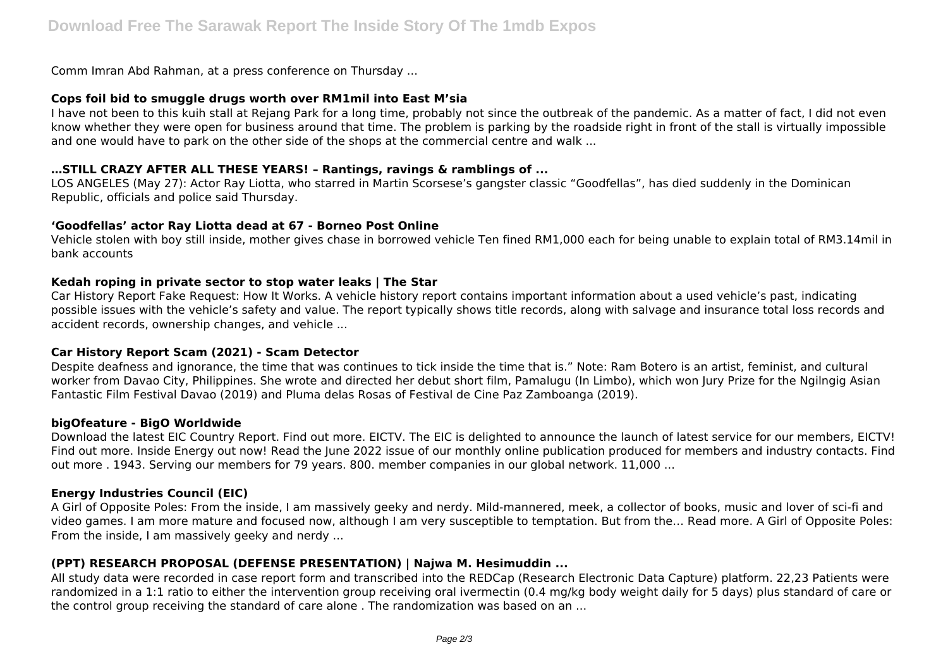Comm Imran Abd Rahman, at a press conference on Thursday ...

### **Cops foil bid to smuggle drugs worth over RM1mil into East M'sia**

I have not been to this kuih stall at Rejang Park for a long time, probably not since the outbreak of the pandemic. As a matter of fact, I did not even know whether they were open for business around that time. The problem is parking by the roadside right in front of the stall is virtually impossible and one would have to park on the other side of the shops at the commercial centre and walk ...

### **…STILL CRAZY AFTER ALL THESE YEARS! – Rantings, ravings & ramblings of ...**

LOS ANGELES (May 27): Actor Ray Liotta, who starred in Martin Scorsese's gangster classic "Goodfellas", has died suddenly in the Dominican Republic, officials and police said Thursday.

### **'Goodfellas' actor Ray Liotta dead at 67 - Borneo Post Online**

Vehicle stolen with boy still inside, mother gives chase in borrowed vehicle Ten fined RM1,000 each for being unable to explain total of RM3.14mil in bank accounts

### **Kedah roping in private sector to stop water leaks | The Star**

Car History Report Fake Request: How It Works. A vehicle history report contains important information about a used vehicle's past, indicating possible issues with the vehicle's safety and value. The report typically shows title records, along with salvage and insurance total loss records and accident records, ownership changes, and vehicle ...

### **Car History Report Scam (2021) - Scam Detector**

Despite deafness and ignorance, the time that was continues to tick inside the time that is." Note: Ram Botero is an artist, feminist, and cultural worker from Davao City, Philippines. She wrote and directed her debut short film, Pamalugu (In Limbo), which won Jury Prize for the Ngilngig Asian Fantastic Film Festival Davao (2019) and Pluma delas Rosas of Festival de Cine Paz Zamboanga (2019).

### **bigOfeature - BigO Worldwide**

Download the latest EIC Country Report. Find out more. EICTV. The EIC is delighted to announce the launch of latest service for our members, EICTV! Find out more. Inside Energy out now! Read the June 2022 issue of our monthly online publication produced for members and industry contacts. Find out more . 1943. Serving our members for 79 years. 800. member companies in our global network. 11,000 ...

### **Energy Industries Council (EIC)**

A Girl of Opposite Poles: From the inside, I am massively geeky and nerdy. Mild-mannered, meek, a collector of books, music and lover of sci-fi and video games. I am more mature and focused now, although I am very susceptible to temptation. But from the… Read more. A Girl of Opposite Poles: From the inside, I am massively geeky and nerdy ...

# **(PPT) RESEARCH PROPOSAL (DEFENSE PRESENTATION) | Najwa M. Hesimuddin ...**

All study data were recorded in case report form and transcribed into the REDCap (Research Electronic Data Capture) platform. 22,23 Patients were randomized in a 1:1 ratio to either the intervention group receiving oral ivermectin (0.4 mg/kg body weight daily for 5 days) plus standard of care or the control group receiving the standard of care alone . The randomization was based on an ...